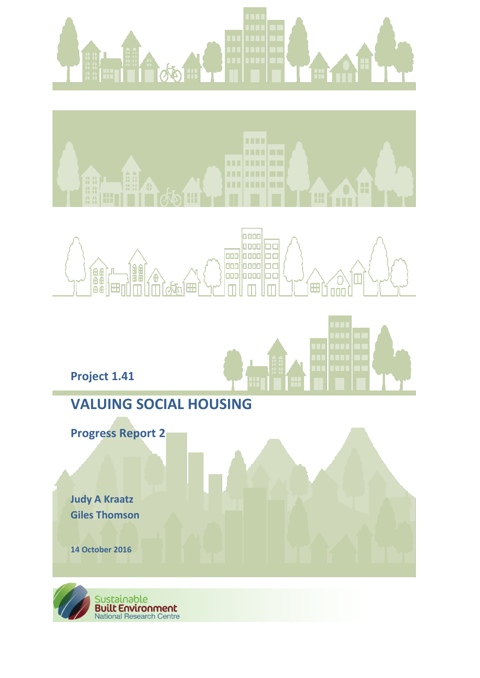







# **VALUING SOCIAL HOUSING**

**Progress Report 2** 

**Judy A Kraatz Giles Thomson**

**Project 1.41**

**14 October 2016**

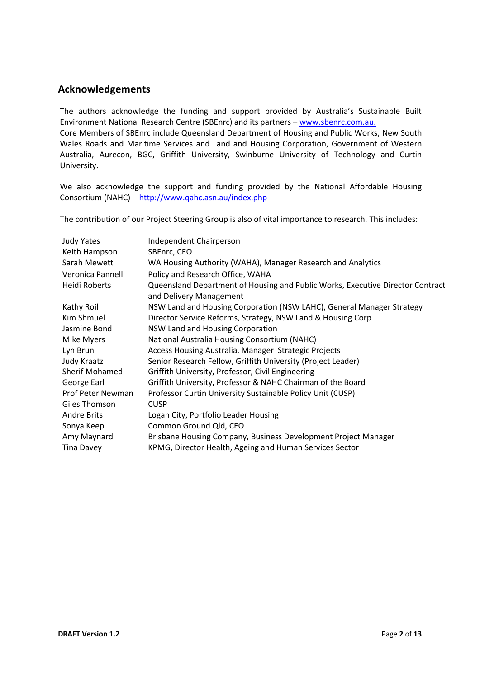# **Acknowledgements**

The authors acknowledge the funding and support provided by Australia's Sustainable Built Environment National Research Centre (SBEnrc) and its partners – [www.sbenrc.com.au.](http://www.sbenrc.com.au/)

Core Members of SBEnrc include Queensland Department of Housing and Public Works, New South Wales Roads and Maritime Services and Land and Housing Corporation, Government of Western Australia, Aurecon, BGC, Griffith University, Swinburne University of Technology and Curtin University.

We also acknowledge the support and funding provided by the National Affordable Housing Consortium (NAHC) - <http://www.qahc.asn.au/index.php>

The contribution of our Project Steering Group is also of vital importance to research. This includes:

| Independent Chairperson                                                        |
|--------------------------------------------------------------------------------|
| SBEnrc, CEO                                                                    |
| WA Housing Authority (WAHA), Manager Research and Analytics                    |
| Policy and Research Office, WAHA                                               |
| Queensland Department of Housing and Public Works, Executive Director Contract |
| and Delivery Management                                                        |
| NSW Land and Housing Corporation (NSW LAHC), General Manager Strategy          |
| Director Service Reforms, Strategy, NSW Land & Housing Corp                    |
| NSW Land and Housing Corporation                                               |
| National Australia Housing Consortium (NAHC)                                   |
| Access Housing Australia, Manager Strategic Projects                           |
| Senior Research Fellow, Griffith University (Project Leader)                   |
| Griffith University, Professor, Civil Engineering                              |
| Griffith University, Professor & NAHC Chairman of the Board                    |
| Professor Curtin University Sustainable Policy Unit (CUSP)                     |
| <b>CUSP</b>                                                                    |
| Logan City, Portfolio Leader Housing                                           |
| Common Ground Qld, CEO                                                         |
| Brisbane Housing Company, Business Development Project Manager                 |
| KPMG, Director Health, Ageing and Human Services Sector                        |
|                                                                                |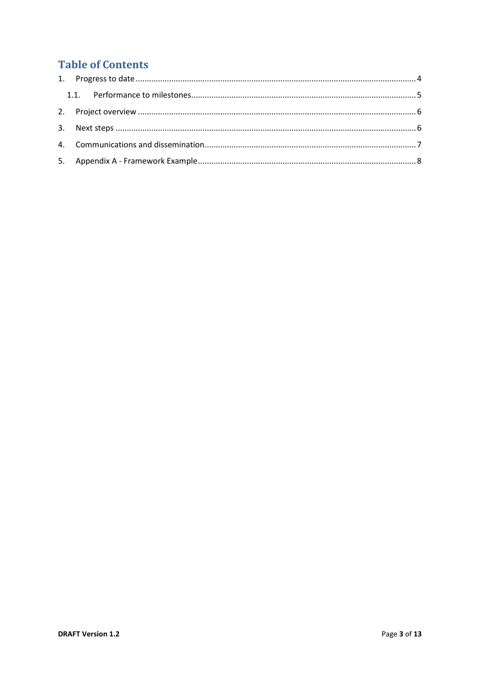# **Table of Contents**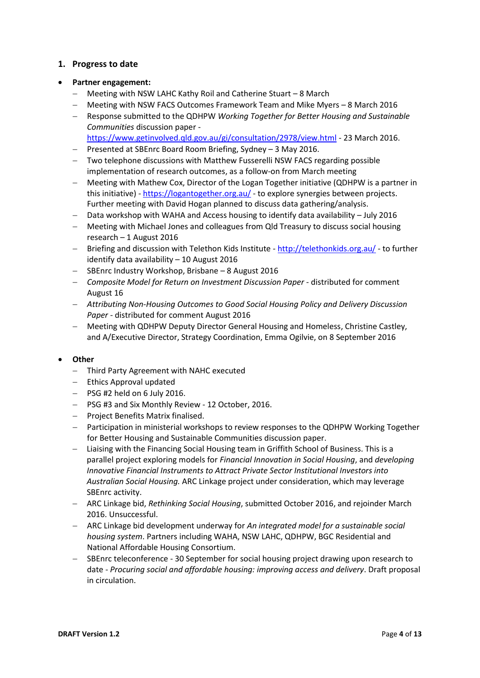# <span id="page-3-0"></span>**1. Progress to date**

#### **Partner engagement:**

- Meeting with NSW LAHC Kathy Roil and Catherine Stuart 8 March
- Meeting with NSW FACS Outcomes Framework Team and Mike Myers 8 March 2016
- Response submitted to the QDHPW *Working Together for Better Housing and Sustainable Communities* discussion paper
	- <https://www.getinvolved.qld.gov.au/gi/consultation/2978/view.html> 23 March 2016.
- $-$  Presented at SBEnrc Board Room Briefing, Sydney  $-$  3 May 2016.
- Two telephone discussions with Matthew Fusserelli NSW FACS regarding possible implementation of research outcomes, as a follow-on from March meeting
- Meeting with Mathew Cox, Director of the Logan Together initiative (QDHPW is a partner in this initiative) - <https://logantogether.org.au/> - to explore synergies between projects. Further meeting with David Hogan planned to discuss data gathering/analysis.
- Data workshop with WAHA and Access housing to identify data availability July 2016
- Meeting with Michael Jones and colleagues from Qld Treasury to discuss social housing research – 1 August 2016
- Briefing and discussion with Telethon Kids Institute <http://telethonkids.org.au/> to further identify data availability – 10 August 2016
- SBEnrc Industry Workshop, Brisbane 8 August 2016
- *Composite Model for Return on Investment Discussion Paper* distributed for comment August 16
- *Attributing Non-Housing Outcomes to Good Social Housing Policy and Delivery Discussion Paper* - distributed for comment August 2016
- Meeting with QDHPW Deputy Director General Housing and Homeless, Christine Castley, and A/Executive Director, Strategy Coordination, Emma Ogilvie, on 8 September 2016

#### **Other**

- Third Party Agreement with NAHC executed
- $-$  Ethics Approval updated
- $-$  PSG #2 held on 6 July 2016.
- PSG #3 and Six Monthly Review 12 October, 2016.
- Project Benefits Matrix finalised.
- Participation in ministerial workshops to review responses to the QDHPW Working Together for Better Housing and Sustainable Communities discussion paper.
- Liaising with the Financing Social Housing team in Griffith School of Business. This is a parallel project exploring models for *Financial Innovation in Social Housing*, and *developing Innovative Financial Instruments to Attract Private Sector Institutional Investors into Australian Social Housing.* ARC Linkage project under consideration, which may leverage SBEnrc activity.
- ARC Linkage bid, *Rethinking Social Housing*, submitted October 2016, and rejoinder March 2016. Unsuccessful.
- ARC Linkage bid development underway for *An integrated model for a sustainable social housing system*. Partners including WAHA, NSW LAHC, QDHPW, BGC Residential and National Affordable Housing Consortium.
- SBEnrc teleconference 30 September for social housing project drawing upon research to date - *Procuring social and affordable housing: improving access and delivery*. Draft proposal in circulation.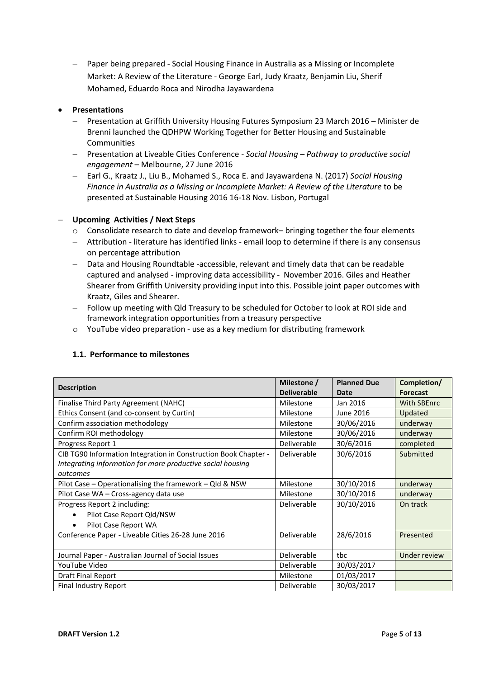Paper being prepared - Social Housing Finance in Australia as a Missing or Incomplete Market: A Review of the Literature - George Earl, Judy Kraatz, Benjamin Liu, Sherif Mohamed, Eduardo Roca and Nirodha Jayawardena

#### **Presentations**

- Presentation at Griffith University Housing Futures Symposium 23 March 2016 Minister de Brenni launched the QDHPW Working Together for Better Housing and Sustainable **Communities**
- Presentation at Liveable Cities Conference *Social Housing – Pathway to productive social engagement* – Melbourne, 27 June 2016
- Earl G., Kraatz J., Liu B., Mohamed S., Roca E. and Jayawardena N. (2017) *Social Housing Finance in Australia as a Missing or Incomplete Market: A Review of the Literature* to be presented at Sustainable Housing 2016 16-18 Nov. Lisbon, Portugal

#### **Upcoming Activities / Next Steps**

- $\circ$  Consolidate research to date and develop framework– bringing together the four elements
- Attribution literature has identified links email loop to determine if there is any consensus on percentage attribution
- Data and Housing Roundtable -accessible, relevant and timely data that can be readable captured and analysed - improving data accessibility - November 2016. Giles and Heather Shearer from Griffith University providing input into this. Possible joint paper outcomes with Kraatz, Giles and Shearer.
- Follow up meeting with Qld Treasury to be scheduled for October to look at ROI side and framework integration opportunities from a treasury perspective
- <span id="page-4-0"></span>o YouTube video preparation - use as a key medium for distributing framework

#### **1.1. Performance to milestones**

|                                                                 | Milestone /        | <b>Planned Due</b> | Completion/        |
|-----------------------------------------------------------------|--------------------|--------------------|--------------------|
| <b>Description</b>                                              | <b>Deliverable</b> | Date               | <b>Forecast</b>    |
| Finalise Third Party Agreement (NAHC)                           | Milestone          | Jan 2016           | <b>With SBEnrc</b> |
| Ethics Consent (and co-consent by Curtin)                       | Milestone          | June 2016          | Updated            |
| Confirm association methodology                                 | Milestone          | 30/06/2016         | underway           |
| Confirm ROI methodology                                         | Milestone          | 30/06/2016         | underway           |
| Progress Report 1                                               | Deliverable        | 30/6/2016          | completed          |
| CIB TG90 Information Integration in Construction Book Chapter - | Deliverable        | 30/6/2016          | Submitted          |
| Integrating information for more productive social housing      |                    |                    |                    |
| outcomes                                                        |                    |                    |                    |
| Pilot Case - Operationalising the framework - Qld & NSW         | Milestone          | 30/10/2016         | underway           |
| Pilot Case WA - Cross-agency data use                           | Milestone          | 30/10/2016         | underway           |
| Progress Report 2 including:                                    | Deliverable        | 30/10/2016         | On track           |
| Pilot Case Report Qld/NSW                                       |                    |                    |                    |
| Pilot Case Report WA<br>$\bullet$                               |                    |                    |                    |
| Conference Paper - Liveable Cities 26-28 June 2016              | Deliverable        | 28/6/2016          | Presented          |
|                                                                 |                    |                    |                    |
| Journal Paper - Australian Journal of Social Issues             | Deliverable        | tbc                | Under review       |
| YouTube Video                                                   | Deliverable        | 30/03/2017         |                    |
| Draft Final Report                                              | Milestone          | 01/03/2017         |                    |
| Final Industry Report                                           | Deliverable        | 30/03/2017         |                    |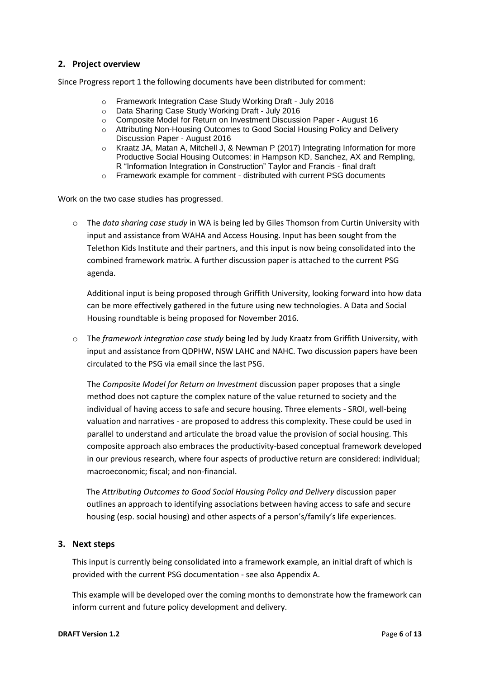## <span id="page-5-0"></span>**2. Project overview**

Since Progress report 1 the following documents have been distributed for comment:

- o Framework Integration Case Study Working Draft July 2016
- o Data Sharing Case Study Working Draft July 2016
- o Composite Model for Return on Investment Discussion Paper August 16
- o Attributing Non-Housing Outcomes to Good Social Housing Policy and Delivery Discussion Paper - August 2016
- o Kraatz JA, Matan A, Mitchell J, & Newman P (2017) Integrating Information for more Productive Social Housing Outcomes: in Hampson KD, Sanchez, AX and Rempling, R "Information Integration in Construction" Taylor and Francis - final draft
- o Framework example for comment distributed with current PSG documents

Work on the two case studies has progressed.

o The *data sharing case study* in WA is being led by Giles Thomson from Curtin University with input and assistance from WAHA and Access Housing. Input has been sought from the Telethon Kids Institute and their partners, and this input is now being consolidated into the combined framework matrix. A further discussion paper is attached to the current PSG agenda.

Additional input is being proposed through Griffith University, looking forward into how data can be more effectively gathered in the future using new technologies. A Data and Social Housing roundtable is being proposed for November 2016.

o The *framework integration case study* being led by Judy Kraatz from Griffith University, with input and assistance from QDPHW, NSW LAHC and NAHC. Two discussion papers have been circulated to the PSG via email since the last PSG.

The *Composite Model for Return on Investment* discussion paper proposes that a single method does not capture the complex nature of the value returned to society and the individual of having access to safe and secure housing. Three elements - SROI, well-being valuation and narratives - are proposed to address this complexity. These could be used in parallel to understand and articulate the broad value the provision of social housing. This composite approach also embraces the productivity-based conceptual framework developed in our previous research, where four aspects of productive return are considered: individual; macroeconomic; fiscal; and non-financial.

The *Attributing Outcomes to Good Social Housing Policy and Delivery* discussion paper outlines an approach to identifying associations between having access to safe and secure housing (esp. social housing) and other aspects of a person's/family's life experiences.

#### <span id="page-5-1"></span>**3. Next steps**

This input is currently being consolidated into a framework example, an initial draft of which is provided with the current PSG documentation - see also Appendix A.

This example will be developed over the coming months to demonstrate how the framework can inform current and future policy development and delivery.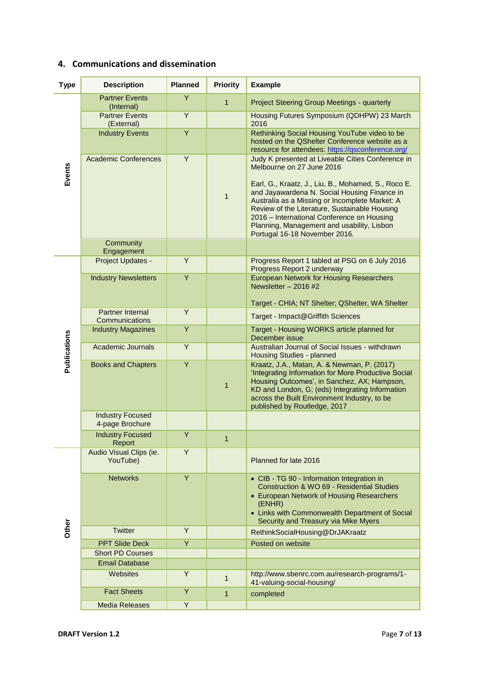# <span id="page-6-0"></span>**4. Communications and dissemination**

| <b>Type</b>         | <b>Description</b>                         | <b>Planned</b> | <b>Priority</b> | <b>Example</b>                                                                                                                                                                                                                                                                                                                                                                                                        |
|---------------------|--------------------------------------------|----------------|-----------------|-----------------------------------------------------------------------------------------------------------------------------------------------------------------------------------------------------------------------------------------------------------------------------------------------------------------------------------------------------------------------------------------------------------------------|
|                     | <b>Partner Events</b><br>(Internal)        | Y              | $\mathbf{1}$    | Project Steering Group Meetings - quarterly                                                                                                                                                                                                                                                                                                                                                                           |
| Events              | <b>Partner Events</b><br>(External)        | Y              |                 | Housing Futures Symposium (QDHPW) 23 March<br>2016                                                                                                                                                                                                                                                                                                                                                                    |
|                     | <b>Industry Events</b>                     | Y              |                 | Rethinking Social Housing YouTube video to be<br>hosted on the QShelter Conference website as a<br>resource for attendees: https://gsconference.org/                                                                                                                                                                                                                                                                  |
|                     | <b>Academic Conferences</b>                | Y              | $\mathbf{1}$    | Judy K presented at Liveable Cities Conference in<br>Melbourne on 27 June 2016<br>Earl, G., Kraatz, J., Liu, B., Mohamed, S., Roco E.<br>and Jayawardena N. Social Housing Finance in<br>Australia as a Missing or Incomplete Market: A<br>Review of the Literature, Sustainable Housing<br>2016 – International Conference on Housing<br>Planning, Management and usability, Lisbon<br>Portugal 16-18 November 2016. |
|                     | Community<br>Engagement                    |                |                 |                                                                                                                                                                                                                                                                                                                                                                                                                       |
|                     | Project Updates -                          | Y              |                 | Progress Report 1 tabled at PSG on 6 July 2016<br>Progress Report 2 underway                                                                                                                                                                                                                                                                                                                                          |
|                     | <b>Industry Newsletters</b>                | Y              |                 | <b>European Network for Housing Researchers</b><br>Newsletter $-2016$ #2<br>Target - CHIA; NT Shelter; QShelter, WA Shelter                                                                                                                                                                                                                                                                                           |
|                     | Partner Internal<br>Communications         | Y              |                 | Target - Impact@Griffith Sciences                                                                                                                                                                                                                                                                                                                                                                                     |
|                     | <b>Industry Magazines</b>                  | $\overline{Y}$ |                 | Target - Housing WORKS article planned for<br>December issue                                                                                                                                                                                                                                                                                                                                                          |
| <b>Publications</b> | <b>Academic Journals</b>                   | Y              |                 | Australian Journal of Social Issues - withdrawn<br>Housing Studies - planned                                                                                                                                                                                                                                                                                                                                          |
|                     | <b>Books and Chapters</b>                  | Y              | $\mathbf 1$     | Kraatz, J.A., Matan, A. & Newman, P. (2017)<br>'Integrating Information for More Productive Social<br>Housing Outcomes', in Sanchez, AX; Hampson,<br>KD and London, G; (eds) Integrating Information<br>across the Built Environment Industry, to be<br>published by Routledge, 2017                                                                                                                                  |
|                     | <b>Industry Focused</b><br>4-page Brochure |                |                 |                                                                                                                                                                                                                                                                                                                                                                                                                       |
|                     | <b>Industry Focused</b><br>Report          | Y              | 1               |                                                                                                                                                                                                                                                                                                                                                                                                                       |
|                     | Audio Visual Clips (ie.<br>YouTube)        | Y              |                 | Planned for late 2016                                                                                                                                                                                                                                                                                                                                                                                                 |
|                     | <b>Networks</b>                            | Y              |                 | • CIB - TG 90 - Information Integration in<br>Construction & WO 69 - Residential Studies<br>• European Network of Housing Researchers<br>(ENHR)<br>• Links with Commonwealth Department of Social<br>Security and Treasury via Mike Myers                                                                                                                                                                             |
| Other               | <b>Twitter</b>                             | Y              |                 | RethinkSocialHousing@DrJAKraatz                                                                                                                                                                                                                                                                                                                                                                                       |
|                     | <b>PPT Slide Deck</b>                      | Y              |                 | Posted on website                                                                                                                                                                                                                                                                                                                                                                                                     |
|                     | <b>Short PD Courses</b>                    |                |                 |                                                                                                                                                                                                                                                                                                                                                                                                                       |
|                     | <b>Email Database</b>                      |                |                 |                                                                                                                                                                                                                                                                                                                                                                                                                       |
|                     | Websites                                   | Y              | $\mathbf{1}$    | http://www.sbenrc.com.au/research-programs/1-<br>41-valuing-social-housing/                                                                                                                                                                                                                                                                                                                                           |
|                     | <b>Fact Sheets</b>                         | Y              | $\mathbf{1}$    | completed                                                                                                                                                                                                                                                                                                                                                                                                             |
|                     | <b>Media Releases</b>                      | Y              |                 |                                                                                                                                                                                                                                                                                                                                                                                                                       |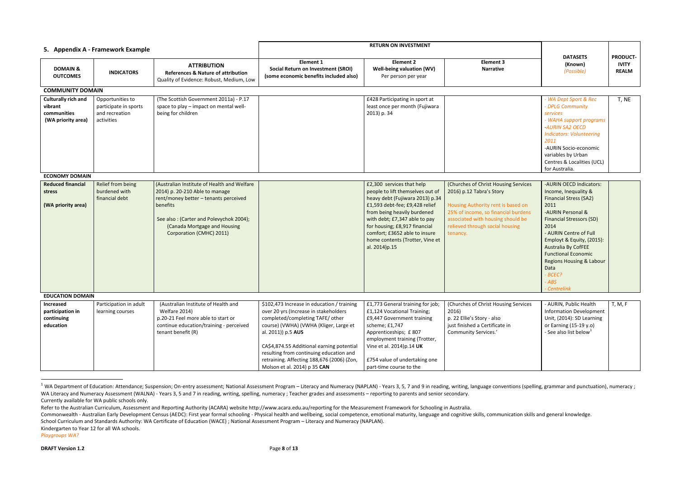<span id="page-7-0"></span>

| 5. Appendix A - Framework Example                                          |                                                                           |                                                                                                                                                                                                                                           | <b>RETURN ON INVESTMENT</b>                                                                                                                                                                                                                                                                                                                                   |                                                                                                                                                                                                                                                                                                                          |                                                                                                                                                                                                                                   |                                                                                                                                                                                                                                                                                                                                                           |                                                 |
|----------------------------------------------------------------------------|---------------------------------------------------------------------------|-------------------------------------------------------------------------------------------------------------------------------------------------------------------------------------------------------------------------------------------|---------------------------------------------------------------------------------------------------------------------------------------------------------------------------------------------------------------------------------------------------------------------------------------------------------------------------------------------------------------|--------------------------------------------------------------------------------------------------------------------------------------------------------------------------------------------------------------------------------------------------------------------------------------------------------------------------|-----------------------------------------------------------------------------------------------------------------------------------------------------------------------------------------------------------------------------------|-----------------------------------------------------------------------------------------------------------------------------------------------------------------------------------------------------------------------------------------------------------------------------------------------------------------------------------------------------------|-------------------------------------------------|
| <b>DOMAIN &amp;</b><br><b>OUTCOMES</b>                                     | <b>INDICATORS</b>                                                         | <b>ATTRIBUTION</b><br><b>References &amp; Nature of attribution</b><br>Quality of Evidence: Robust, Medium, Low                                                                                                                           | <b>Element 1</b><br><b>Social Return on Investment (SROI)</b><br>(some economic benefits included also)                                                                                                                                                                                                                                                       | <b>Element 2</b><br>Well-being valuation (WV)<br>Per person per year                                                                                                                                                                                                                                                     | <b>Element 3</b><br><b>Narrative</b>                                                                                                                                                                                              | <b>DATASETS</b><br>(Known)<br>(Possible)                                                                                                                                                                                                                                                                                                                  | <b>PRODUCT-</b><br><b>IVITY</b><br><b>REALM</b> |
| <b>COMMUNITY DOMAIN</b>                                                    |                                                                           |                                                                                                                                                                                                                                           |                                                                                                                                                                                                                                                                                                                                                               |                                                                                                                                                                                                                                                                                                                          |                                                                                                                                                                                                                                   |                                                                                                                                                                                                                                                                                                                                                           |                                                 |
| <b>Culturally rich and</b><br>vibrant<br>communities<br>(WA priority area) | Opportunities to<br>participate in sports<br>and recreation<br>activities | (The Scottish Government 2011a) - P.17<br>space to play - impact on mental well-<br>being for children                                                                                                                                    |                                                                                                                                                                                                                                                                                                                                                               | £428 Participating in sport at<br>least once per month (Fujiwara<br>2013) p. 34                                                                                                                                                                                                                                          |                                                                                                                                                                                                                                   | - WA Dept Sport & Rec<br>- DPLG Community<br>services<br>- WAHA support programs<br>-AURIN SA2 OECD<br><b>Indicators: Volunteering</b><br>2011<br>-AURIN Socio-economic<br>variables by Urban<br>Centres & Localities (UCL)<br>for Australia.                                                                                                             | T, NE                                           |
| <b>ECONOMY DOMAIN</b>                                                      |                                                                           |                                                                                                                                                                                                                                           |                                                                                                                                                                                                                                                                                                                                                               |                                                                                                                                                                                                                                                                                                                          |                                                                                                                                                                                                                                   |                                                                                                                                                                                                                                                                                                                                                           |                                                 |
| <b>Reduced financial</b><br>stress<br>(WA priority area)                   | Relief from being<br>burdened with<br>financial debt                      | (Australian Institute of Health and Welfare<br>2014) p. 20-210 Able to manage<br>rent/money better - tenants perceived<br>benefits<br>See also: (Carter and Polevychok 2004);<br>(Canada Mortgage and Housing<br>Corporation (CMHC) 2011) |                                                                                                                                                                                                                                                                                                                                                               | £2,300 services that help<br>people to lift themselves out of<br>heavy debt (Fujiwara 2013) p.34<br>£1,593 debt-fee; £9,428 relief<br>from being heavily burdened<br>with debt; £7,347 able to pay<br>for housing; £8,917 financial<br>comfort; £3652 able to insure<br>home contents (Trotter, Vine et<br>al. 2014)p.15 | (Churches of Christ Housing Services<br>2016) p.12 Tabra's Story<br>Housing Authority rent is based on<br>25% of income, so financial burdens<br>associated with housing should be<br>relieved through social housing<br>tenancy. | -AURIN OECD Indicators:<br>Income, Inequality &<br><b>Financial Stress (SA2)</b><br>2011<br>-AURIN Personal &<br><b>Financial Stressors (SD)</b><br>2014<br>- AURIN Centre of Full<br>Employt & Equity, (2015):<br>Australia By CofFEE<br><b>Functional Economic</b><br><b>Regions Housing &amp; Labour</b><br>Data<br>- BCEC?<br>$-$ ABS<br>- Centrelink |                                                 |
| <b>EDUCATION DOMAIN</b>                                                    |                                                                           |                                                                                                                                                                                                                                           |                                                                                                                                                                                                                                                                                                                                                               |                                                                                                                                                                                                                                                                                                                          |                                                                                                                                                                                                                                   |                                                                                                                                                                                                                                                                                                                                                           |                                                 |
| Increased<br>participation in<br>continuing<br>education                   | Participation in adult<br>learning courses                                | (Australian Institute of Health and<br>Welfare 2014)<br>p.20-21 Feel more able to start or<br>continue education/training - perceived<br>tenant benefit (R)                                                                               | \$102,473 Increase in education / training<br>over 20 yrs (Increase in stakeholders<br>completed/completing TAFE/ other<br>course) (VWHA) (VWHA (Kliger, Large et<br>al. 2011)) p.5 AUS<br>CA\$4,874.55 Additional earning potential<br>resulting from continuing education and<br>retraining. Affecting 188,676 (2006) (Zon,<br>Molson et al. 2014) p 35 CAN | £1,773 General training for job;<br>£1,124 Vocational Training;<br>£9,447 Government training<br>scheme; £1,747<br>Apprenticeships; £807<br>employment training (Trotter,<br>Vine et al. 2014) p.14 UK<br>£754 value of undertaking one<br>part-time course to the                                                       | (Churches of Christ Housing Services<br>2016)<br>p. 22 Ellie's Story - also<br>just finished a Certificate in<br><b>Community Services.'</b>                                                                                      | - AURIN, Public Health<br><b>Information Development</b><br>Unit, (2014): SD Learning<br>or Earning (15-19 y.o)<br>- See also list below $^{1}$                                                                                                                                                                                                           | T, M, F                                         |

<sup>&</sup>lt;sup>1</sup> WA Department of Education: Attendance; Suspension; On-entry assessment; National Assessment Program – Literacy and Numeracy (NAPLAN) - Years 3, 5, 7 and 9 in reading, writing, language conventions (spelling, grammar a WA Literacy and Numeracy Assessment (WALNA) - Years 3, 5 and 7 in reading, writing, spelling, numeracy ; Teacher grades and assessments – reporting to parents and senior secondary. Currently available for WA public schools only.

Refer to the Australian Curriculum, Assessment and Reporting Authority (ACARA) website http://www.acara.edu.au/reporting for the Measurement Framework for Schooling in Australia.

Commonwealth - Australian Early Development Census (AEDC): First year formal schooling - Physical health and wellbeing, social competence, emotional maturity, language and cognitive skills, communication skills and general School Curriculum and Standards Authority: WA Certificate of Education (WACE) ; National Assessment Program – Literacy and Numeracy (NAPLAN).

Kindergarten to Year 12 for all WA schools.

*Playgroups WA?*

 $\overline{\phantom{a}}$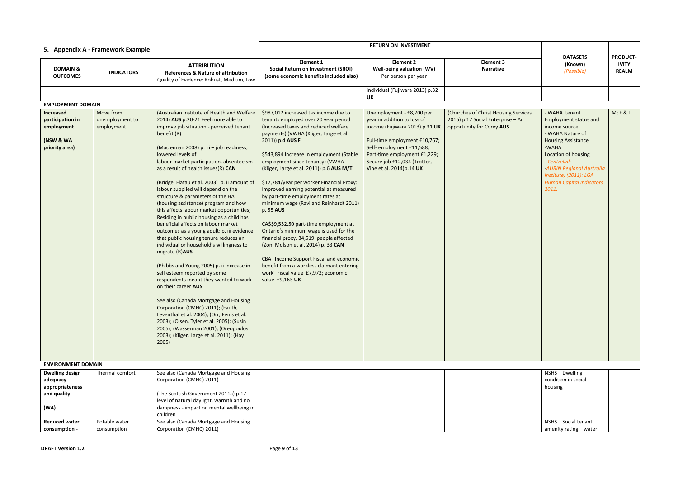|                                                                              |                                   |                                                                                                                                                                                                                                                                                                                                                                                                                                                                                                                                                                                                                                                                                                                                                                                                                                                                                                                                                                                                                             |                                                                                                                                                                                                                                                                                                                                                                                                                                                                                                                                                                                                                                   | <b>RETURN ON INVESTMENT</b>                                                                                            |                                                                |                                                                                                                                                       |                                                 |
|------------------------------------------------------------------------------|-----------------------------------|-----------------------------------------------------------------------------------------------------------------------------------------------------------------------------------------------------------------------------------------------------------------------------------------------------------------------------------------------------------------------------------------------------------------------------------------------------------------------------------------------------------------------------------------------------------------------------------------------------------------------------------------------------------------------------------------------------------------------------------------------------------------------------------------------------------------------------------------------------------------------------------------------------------------------------------------------------------------------------------------------------------------------------|-----------------------------------------------------------------------------------------------------------------------------------------------------------------------------------------------------------------------------------------------------------------------------------------------------------------------------------------------------------------------------------------------------------------------------------------------------------------------------------------------------------------------------------------------------------------------------------------------------------------------------------|------------------------------------------------------------------------------------------------------------------------|----------------------------------------------------------------|-------------------------------------------------------------------------------------------------------------------------------------------------------|-------------------------------------------------|
|                                                                              | 5. Appendix A - Framework Example |                                                                                                                                                                                                                                                                                                                                                                                                                                                                                                                                                                                                                                                                                                                                                                                                                                                                                                                                                                                                                             |                                                                                                                                                                                                                                                                                                                                                                                                                                                                                                                                                                                                                                   |                                                                                                                        |                                                                |                                                                                                                                                       |                                                 |
| <b>DOMAIN &amp;</b><br><b>OUTCOMES</b>                                       | <b>INDICATORS</b>                 | <b>ATTRIBUTION</b><br><b>References &amp; Nature of attribution</b><br>Quality of Evidence: Robust, Medium, Low                                                                                                                                                                                                                                                                                                                                                                                                                                                                                                                                                                                                                                                                                                                                                                                                                                                                                                             | <b>Element 1</b><br><b>Social Return on Investment (SROI)</b><br>(some economic benefits included also)                                                                                                                                                                                                                                                                                                                                                                                                                                                                                                                           | <b>Element 2</b><br>Well-being valuation (WV)<br>Per person per year                                                   | <b>Element 3</b><br><b>Narrative</b>                           | <b>DATASETS</b><br>(Known)<br>(Possible)                                                                                                              | <b>PRODUCT-</b><br><b>IVITY</b><br><b>REALM</b> |
|                                                                              |                                   |                                                                                                                                                                                                                                                                                                                                                                                                                                                                                                                                                                                                                                                                                                                                                                                                                                                                                                                                                                                                                             |                                                                                                                                                                                                                                                                                                                                                                                                                                                                                                                                                                                                                                   | individual (Fujiwara 2013) p.32<br><b>UK</b>                                                                           |                                                                |                                                                                                                                                       |                                                 |
| <b>EMPLOYMENT DOMAIN</b>                                                     |                                   |                                                                                                                                                                                                                                                                                                                                                                                                                                                                                                                                                                                                                                                                                                                                                                                                                                                                                                                                                                                                                             |                                                                                                                                                                                                                                                                                                                                                                                                                                                                                                                                                                                                                                   |                                                                                                                        |                                                                |                                                                                                                                                       |                                                 |
| <b>Increased</b>                                                             | Move from                         | (Australian Institute of Health and Welfare                                                                                                                                                                                                                                                                                                                                                                                                                                                                                                                                                                                                                                                                                                                                                                                                                                                                                                                                                                                 | \$987,012 increased tax income due to                                                                                                                                                                                                                                                                                                                                                                                                                                                                                                                                                                                             | Unemployment - £8,700 per                                                                                              | (Churches of Christ Housing Services                           | - WAHA tenant                                                                                                                                         | M; F & T                                        |
| participation in<br>employment<br>(NSW & WA                                  | unemployment to<br>employment     | 2014) AUS p.20-21 Feel more able to<br>improve job situation - perceived tenant<br>benefit (R)                                                                                                                                                                                                                                                                                                                                                                                                                                                                                                                                                                                                                                                                                                                                                                                                                                                                                                                              | tenants employed over 20 year period<br>(Increased taxes and reduced welfare<br>payments) (VWHA (Kliger, Large et al.<br>2011)) p.4 AUS F                                                                                                                                                                                                                                                                                                                                                                                                                                                                                         | year in addition to loss of<br>income (Fujiwara 2013) p.31 UK<br>Full-time employment £10,767;                         | 2016) p 17 Social Enterprise - An<br>opportunity for Corey AUS | Employment status and<br>income source<br>- WAHA Nature of<br><b>Housing Assistance</b>                                                               |                                                 |
| priority area)                                                               |                                   | (Maclennan 2008) p. iii - job readiness;<br>lowered levels of<br>labour market participation, absenteeism<br>as a result of health issues(R) CAN<br>(Bridge, Flatau et al. 2003) p. ii amount of<br>labour supplied will depend on the<br>structure & parameters of the HA<br>(housing assistance) program and how<br>this affects labour market opportunities;<br>Residing in public housing as a child has<br>beneficial affects on labour market<br>outcomes as a young adult; p. iii evidence<br>that public housing tenure reduces an<br>individual or household's willingness to<br>migrate (R)AUS<br>(Phibbs and Young 2005) p. ii increase in<br>self esteem reported by some<br>respondents meant they wanted to work<br>on their career AUS<br>See also (Canada Mortgage and Housing<br>Corporation (CMHC) 2011); (Fauth,<br>Leventhal et al. 2004); (Orr, Feins et al.<br>2003); (Olsen, Tyler et al. 2005); (Susin<br>2005); (Wasserman 2001); (Oreopoulos<br>2003); (Kliger, Large et al. 2011); (Hay<br>2005) | \$543,894 Increase in employment (Stable<br>employment since tenancy) (VWHA<br>(Kliger, Large et al. 2011)) p.6 AUS M/T<br>\$17,784/year per worker Financial Proxy:<br>Improved earning potential as measured<br>by part-time employment rates at<br>minimum wage (Ravi and Reinhardt 2011)<br>p. 55 AUS<br>CA\$\$9,532.50 part-time employment at<br>Ontario's minimum wage is used for the<br>financial proxy. 34,519 people affected<br>(Zon, Molson et al. 2014) p. 33 CAN<br>CBA "Income Support Fiscal and economic<br>benefit from a workless claimant entering<br>work" Fiscal value £7,972; economic<br>value £9,163 UK | Self- employment £11,588;<br>Part-time employment £1,229;<br>Secure job £12,034 (Trotter,<br>Vine et al. 2014) p.14 UK |                                                                | -WAHA<br>Location of housing<br>- Centrelink<br><b>AURIN Regional Australia</b><br>Institute, (2011): LGA<br><b>Human Capital Indicators</b><br>2011. |                                                 |
| <b>ENVIRONMENT DOMAIN</b>                                                    |                                   |                                                                                                                                                                                                                                                                                                                                                                                                                                                                                                                                                                                                                                                                                                                                                                                                                                                                                                                                                                                                                             |                                                                                                                                                                                                                                                                                                                                                                                                                                                                                                                                                                                                                                   |                                                                                                                        |                                                                |                                                                                                                                                       |                                                 |
| <b>Dwelling design</b><br>adequacy<br>appropriateness<br>and quality<br>(WA) | Thermal comfort                   | See also (Canada Mortgage and Housing<br>Corporation (CMHC) 2011)<br>(The Scottish Government 2011a) p.17<br>level of natural daylight, warmth and no<br>dampness - impact on mental wellbeing in<br>children                                                                                                                                                                                                                                                                                                                                                                                                                                                                                                                                                                                                                                                                                                                                                                                                               |                                                                                                                                                                                                                                                                                                                                                                                                                                                                                                                                                                                                                                   |                                                                                                                        |                                                                | NSHS - Dwelling<br>condition in social<br>housing                                                                                                     |                                                 |
| <b>Reduced water</b>                                                         | Potable water                     | See also (Canada Mortgage and Housing                                                                                                                                                                                                                                                                                                                                                                                                                                                                                                                                                                                                                                                                                                                                                                                                                                                                                                                                                                                       |                                                                                                                                                                                                                                                                                                                                                                                                                                                                                                                                                                                                                                   |                                                                                                                        |                                                                | NSHS - Social tenant                                                                                                                                  |                                                 |
| consumption -                                                                | consumption                       | Corporation (CMHC) 2011)                                                                                                                                                                                                                                                                                                                                                                                                                                                                                                                                                                                                                                                                                                                                                                                                                                                                                                                                                                                                    |                                                                                                                                                                                                                                                                                                                                                                                                                                                                                                                                                                                                                                   |                                                                                                                        |                                                                | amenity rating - water                                                                                                                                |                                                 |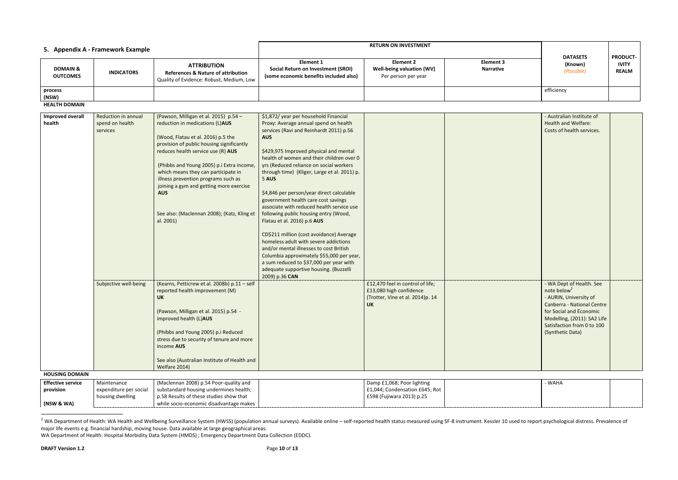| 5. Appendix A - Framework Example      |                   |                                                                                                                 | <b>RETURN ON INVESTMENT</b>                                                                      |                                                               |                               | <b>DATASETS</b>       | <b>PRODUCT-</b>              |
|----------------------------------------|-------------------|-----------------------------------------------------------------------------------------------------------------|--------------------------------------------------------------------------------------------------|---------------------------------------------------------------|-------------------------------|-----------------------|------------------------------|
| <b>DOMAIN &amp;</b><br><b>OUTCOMES</b> | <b>INDICATORS</b> | <b>ATTRIBUTION</b><br><b>References &amp; Nature of attribution</b><br>Quality of Evidence: Robust, Medium, Low | Element 1<br><b>Social Return on Investment (SROI)</b><br>(some economic benefits included also) | Element 2<br>Well-being valuation (WV)<br>Per person per year | Element 3<br><b>Narrative</b> | (Known)<br>(Possible) | <b>IVITY</b><br><b>REALM</b> |
| process<br>(NSW)                       |                   |                                                                                                                 |                                                                                                  |                                                               |                               | efficiency            |                              |

**HEALTH DOMAIN**

| <b>Improved overall</b><br>health | Reduction in annual<br>spend on health<br>services | (Pawson, Milligan et al. 2015) p.54 -<br>reduction in medications (L)AUS<br>(Wood, Flatau et al. 2016) p.5 the<br>provision of public housing significantly<br>reduces health service use (R) AUS<br>(Phibbs and Young 2005) p.i Extra income,<br>which means they can participate in<br>illness prevention programs such as<br>joining a gym and getting more exercise<br><b>AUS</b><br>See also: (Maclennan 2008); (Katz, Kling et<br>al. 2001) | \$1,872/ year per household Financial<br>Proxy: Average annual spend on health<br>services (Ravi and Reinhardt 2011) p.56<br><b>AUS</b><br>\$429,975 Improved physical and mental<br>health of women and their children over 0<br>yrs (Reduced reliance on social workers<br>through time) (Kliger, Large et al. 2011) p.<br>5 AUS<br>\$4,846 per person/year direct calculable<br>government health care cost savings<br>associate with reduced health service use<br>following public housing entry (Wood,<br>Flatau et al. 2016) p.6 AUS<br>CD\$211 million (cost avoidance) Average<br>homeless adult with severe addictions<br>and/or mental illnesses to cost British<br>Columbia approximately \$55,000 per year,<br>a sum reduced to \$37,000 per year with |                                                                                                              | - Australian Institute of<br><b>Health and Welfare:</b><br>Costs of health services.                                                                                                                                    |  |
|-----------------------------------|----------------------------------------------------|---------------------------------------------------------------------------------------------------------------------------------------------------------------------------------------------------------------------------------------------------------------------------------------------------------------------------------------------------------------------------------------------------------------------------------------------------|---------------------------------------------------------------------------------------------------------------------------------------------------------------------------------------------------------------------------------------------------------------------------------------------------------------------------------------------------------------------------------------------------------------------------------------------------------------------------------------------------------------------------------------------------------------------------------------------------------------------------------------------------------------------------------------------------------------------------------------------------------------------|--------------------------------------------------------------------------------------------------------------|-------------------------------------------------------------------------------------------------------------------------------------------------------------------------------------------------------------------------|--|
| <b>HOUSING DOMAIN</b>             | Subjective well-being                              | (Kearns, Petticrew et al. 2008b) p.11 - self<br>reported health improvement (M)<br><b>UK</b><br>(Pawson, Milligan et al. 2015) p.54 -<br>improved health (L)AUS<br>(Phibbs and Young 2005) p.i Reduced<br>stress due to security of tenure and more<br>income AUS<br>See also (Australian Institute of Health and<br>Welfare 2014)                                                                                                                | adequate supportive housing. (Buzzelli<br>2009) p.36 CAN                                                                                                                                                                                                                                                                                                                                                                                                                                                                                                                                                                                                                                                                                                            | £12,470 feel in control of life;<br>£13,080 high confidence<br>(Trotter, Vine et al. 2014)p. 14<br><b>UK</b> | - WA Dept of Health. See<br>note below <sup>2</sup><br>- AURIN, University of<br>Canberra - National Centre<br>for Social and Economic<br>Modelling, (2011): SA2 Life<br>Satisfaction from 0 to 100<br>(Synthetic Data) |  |
| <b>Effective service</b>          | Maintenance                                        |                                                                                                                                                                                                                                                                                                                                                                                                                                                   |                                                                                                                                                                                                                                                                                                                                                                                                                                                                                                                                                                                                                                                                                                                                                                     |                                                                                                              | - WAHA                                                                                                                                                                                                                  |  |
|                                   |                                                    | (Maclennan 2008) p.54 Poor-quality and                                                                                                                                                                                                                                                                                                                                                                                                            |                                                                                                                                                                                                                                                                                                                                                                                                                                                                                                                                                                                                                                                                                                                                                                     | Damp £1,068; Poor lighting                                                                                   |                                                                                                                                                                                                                         |  |
| provision                         | expenditure per social                             | substandard housing undermines health;                                                                                                                                                                                                                                                                                                                                                                                                            |                                                                                                                                                                                                                                                                                                                                                                                                                                                                                                                                                                                                                                                                                                                                                                     | £1,044; Condensation £645; Rot                                                                               |                                                                                                                                                                                                                         |  |
| (NSW & WA)                        | housing dwelling                                   | p.58 Results of these studies show that<br>while socio-economic disadvantage makes                                                                                                                                                                                                                                                                                                                                                                |                                                                                                                                                                                                                                                                                                                                                                                                                                                                                                                                                                                                                                                                                                                                                                     | £598 (Fujiwara 2013) p.25                                                                                    |                                                                                                                                                                                                                         |  |

<sup>&</sup>lt;sup>2</sup> WA Department of Health: WA Health and Wellbeing Surveillance System (HWSS) (population annual surveys). Available online – self-reported health status measured using SF-8 instrument. Kessler 10 used to report psycholo major life events e.g. financial hardship, moving house. Data available at large geographical areas.

l

| - WAHA |  |
|--------|--|
|        |  |
|        |  |
|        |  |

WA Department of Health: Hospital Morbidity Data System (HMDS) ; Emergency Department Data Collection (EDDC).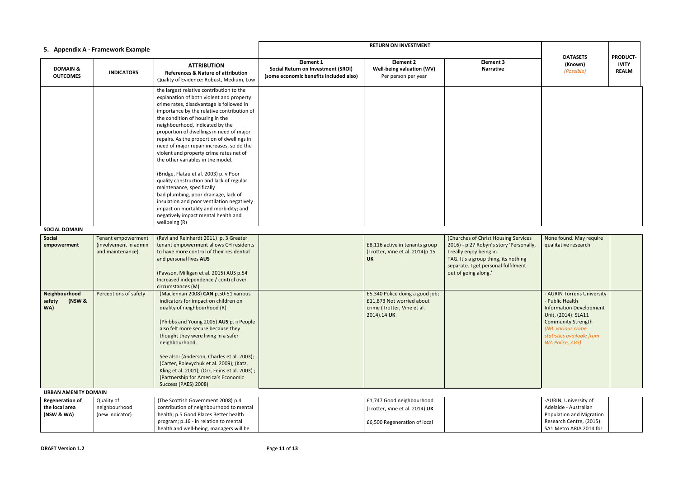|                                                        | 5. Appendix A - Framework Example                               |                                                                                                                                                                                                                                                                                                                                                                                                                                                                             |                                                                                                         | <b>RETURN ON INVESTMENT</b>                                                                                |                                                                                                                                                                                                                   |                                                                                                                                                                                                                  |                                               |
|--------------------------------------------------------|-----------------------------------------------------------------|-----------------------------------------------------------------------------------------------------------------------------------------------------------------------------------------------------------------------------------------------------------------------------------------------------------------------------------------------------------------------------------------------------------------------------------------------------------------------------|---------------------------------------------------------------------------------------------------------|------------------------------------------------------------------------------------------------------------|-------------------------------------------------------------------------------------------------------------------------------------------------------------------------------------------------------------------|------------------------------------------------------------------------------------------------------------------------------------------------------------------------------------------------------------------|-----------------------------------------------|
| <b>DOMAIN &amp;</b><br><b>OUTCOMES</b>                 | <b>INDICATORS</b>                                               | <b>ATTRIBUTION</b><br><b>References &amp; Nature of attribution</b><br>Quality of Evidence: Robust, Medium, Low                                                                                                                                                                                                                                                                                                                                                             | <b>Element 1</b><br><b>Social Return on Investment (SROI)</b><br>(some economic benefits included also) | <b>Element 2</b><br>Well-being valuation (WV)<br>Per person per year                                       | <b>Element 3</b><br><b>Narrative</b>                                                                                                                                                                              | <b>DATASETS</b><br>(Known)<br>(Possible)                                                                                                                                                                         | <b>PRODUC</b><br><b>IVITY</b><br><b>REALM</b> |
|                                                        |                                                                 | the largest relative contribution to the<br>explanation of both violent and property<br>crime rates, disadvantage is followed in<br>importance by the relative contribution of<br>the condition of housing in the<br>neighbourhood, indicated by the<br>proportion of dwellings in need of major<br>repairs. As the proportion of dwellings in<br>need of major repair increases, so do the<br>violent and property crime rates net of<br>the other variables in the model. |                                                                                                         |                                                                                                            |                                                                                                                                                                                                                   |                                                                                                                                                                                                                  |                                               |
|                                                        |                                                                 | (Bridge, Flatau et al. 2003) p. v Poor<br>quality construction and lack of regular<br>maintenance, specifically<br>bad plumbing, poor drainage, lack of<br>insulation and poor ventilation negatively<br>impact on mortality and morbidity; and<br>negatively impact mental health and<br>wellbeing (R)                                                                                                                                                                     |                                                                                                         |                                                                                                            |                                                                                                                                                                                                                   |                                                                                                                                                                                                                  |                                               |
| <b>SOCIAL DOMAIN</b>                                   |                                                                 |                                                                                                                                                                                                                                                                                                                                                                                                                                                                             |                                                                                                         |                                                                                                            |                                                                                                                                                                                                                   |                                                                                                                                                                                                                  |                                               |
| Social<br>empowerment                                  | Tenant empowerment<br>(involvement in admin<br>and maintenance) | (Ravi and Reinhardt 2011) p. 3 Greater<br>tenant empowerment allows CH residents<br>to have more control of their residential<br>and personal lives AUS<br>(Pawson, Milligan et al. 2015) AUS p.54<br>Increased independence / control over<br>circumstances (M)                                                                                                                                                                                                            |                                                                                                         | £8,116 active in tenants group<br>(Trotter, Vine et al. 2014)p.15<br><b>UK</b>                             | (Churches of Christ Housing Services<br>2016) - p 27 Robyn's story 'Personally,<br>I really enjoy being in<br>TAG. It's a group thing, its nothing<br>separate. I get personal fulfilment<br>out of going along.' | None found. May require<br>qualitative research                                                                                                                                                                  |                                               |
| Neighbourhood<br>(NSW &<br>safety<br>WA)               | Perceptions of safety                                           | (Maclennan 2008) CAN p.50-51 various<br>indicators for impact on children on<br>quality of neighbourhood (R)<br>(Phibbs and Young 2005) AUS p. ii People<br>also felt more secure because they<br>thought they were living in a safer<br>neighbourhood.<br>See also: (Anderson, Charles et al. 2003);<br>(Carter, Polevychuk et al. 2009); (Katz,<br>Kling et al. 2001); (Orr, Feins et al. 2003);<br>(Partnership for America's Economic<br>Success (PAES) 2008)           |                                                                                                         | £5,340 Police doing a good job;<br>£11,873 Not worried about<br>crime (Trotter, Vine et al.<br>2014).14 UK |                                                                                                                                                                                                                   | - AURIN Torrens University<br>- Public Health<br><b>Information Development</b><br>Unit, (2014): SLA11<br><b>Community Strength</b><br>(NB. various crime<br>statistics available from<br><b>WA Police, ABS)</b> |                                               |
| <b>URBAN AMENITY DOMAIN</b>                            |                                                                 |                                                                                                                                                                                                                                                                                                                                                                                                                                                                             |                                                                                                         |                                                                                                            |                                                                                                                                                                                                                   |                                                                                                                                                                                                                  |                                               |
| <b>Regeneration of</b><br>the local area<br>(NSW & WA) | Quality of<br>neighbourhood<br>(new indicator)                  | (The Scottish Government 2008) p.4<br>contribution of neighbourhood to mental<br>health; p.5 Good Places Better health                                                                                                                                                                                                                                                                                                                                                      |                                                                                                         | £1,747 Good neighbourhood<br>(Trotter, Vine et al. 2014) UK                                                |                                                                                                                                                                                                                   | -AURIN, University of<br>Adelaide - Australian<br>Population and Migration                                                                                                                                       |                                               |
|                                                        |                                                                 | program; p.16 - in relation to mental<br>health and well-being, managers will be                                                                                                                                                                                                                                                                                                                                                                                            |                                                                                                         | £6,500 Regeneration of local                                                                               |                                                                                                                                                                                                                   | Research Centre, (2015):<br>SA1 Metro ARIA 2014 for                                                                                                                                                              |                                               |

|                            | <b>DATASETS</b><br>(Known)<br>(Possible)                                                                                                                                                    | <b>PRODUCT-</b><br><b>IVITY</b><br><b>REALM</b> |
|----------------------------|---------------------------------------------------------------------------------------------------------------------------------------------------------------------------------------------|-------------------------------------------------|
|                            |                                                                                                                                                                                             |                                                 |
|                            |                                                                                                                                                                                             |                                                 |
|                            |                                                                                                                                                                                             |                                                 |
|                            |                                                                                                                                                                                             |                                                 |
|                            |                                                                                                                                                                                             |                                                 |
| g Services<br>'Personally, | None found. May require<br>qualitative research                                                                                                                                             |                                                 |
| nothing<br>Ifilment        |                                                                                                                                                                                             |                                                 |
|                            | <b>AURIN Torrens University</b><br>- Public Health<br><b>Information Development</b><br>Unit, (2014): SLA11<br><b>Community Strength</b><br>(NB. various crime<br>statistics available from |                                                 |
|                            | <b>WA Police, ABS)</b>                                                                                                                                                                      |                                                 |
|                            |                                                                                                                                                                                             |                                                 |
|                            | -AURIN, University of<br>Adelaide - Australian<br>Population and Migration<br>Research Centre, (2015):<br>SA1 Metro ARIA 2014 for                                                           |                                                 |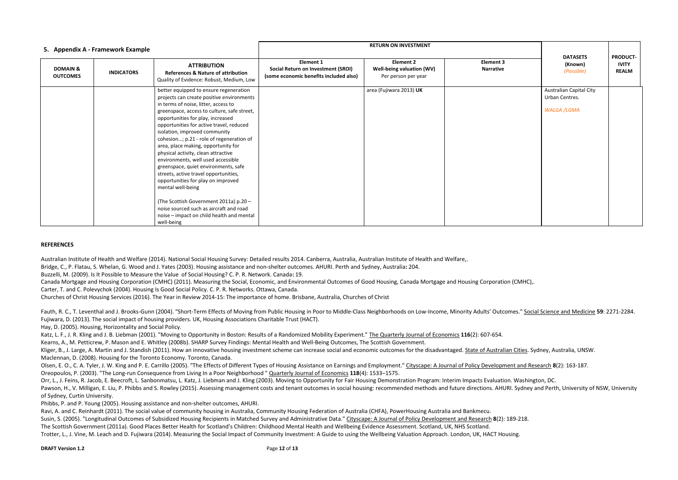| 5. Appendix A - Framework Example      |                   |                                                                                                                                                                                                                                                                                                                                                                                                                                                                                                                                                                                                                                                                                                                                                          |                                                                                                         |                                                                      |                                      |                                                                        |                                                 |
|----------------------------------------|-------------------|----------------------------------------------------------------------------------------------------------------------------------------------------------------------------------------------------------------------------------------------------------------------------------------------------------------------------------------------------------------------------------------------------------------------------------------------------------------------------------------------------------------------------------------------------------------------------------------------------------------------------------------------------------------------------------------------------------------------------------------------------------|---------------------------------------------------------------------------------------------------------|----------------------------------------------------------------------|--------------------------------------|------------------------------------------------------------------------|-------------------------------------------------|
| <b>DOMAIN &amp;</b><br><b>OUTCOMES</b> | <b>INDICATORS</b> | <b>ATTRIBUTION</b><br><b>References &amp; Nature of attribution</b><br>Quality of Evidence: Robust, Medium, Low                                                                                                                                                                                                                                                                                                                                                                                                                                                                                                                                                                                                                                          | <b>Element 1</b><br><b>Social Return on Investment (SROI)</b><br>(some economic benefits included also) | <b>Element 2</b><br>Well-being valuation (WV)<br>Per person per year | <b>Element 3</b><br><b>Narrative</b> | <b>DATASETS</b><br>(Known)<br>(Possible)                               | <b>PRODUCT-</b><br><b>IVITY</b><br><b>REALM</b> |
|                                        |                   | better equipped to ensure regeneration<br>projects can create positive environments<br>in terms of noise, litter, access to<br>greenspace, access to culture, safe street,<br>opportunities for play, increased<br>opportunities for active travel, reduced<br>isolation, improved community<br>cohesion; p.21 - role of regeneration of<br>area, place making, opportunity for<br>physical activity, clean attractive<br>environments, well used accessible<br>greenspace, quiet environments, safe<br>streets, active travel opportunities,<br>opportunities for play on improved<br>mental well-being<br>(The Scottish Government 2011a) p.20 -<br>noise sourced such as aircraft and road<br>noise - impact on child health and mental<br>well-being |                                                                                                         | area (Fujiwara 2013) UK                                              |                                      | <b>Australian Capital City</b><br>Urban Centres.<br><b>WALGA /LGMA</b> |                                                 |

Fauth, R. C., T. Leventhal and J. Brooks-Gunn (2004). "Short-Term Effects of Moving from Public Housing in Poor to Middle-Class Neighborhoods on Low-Income. Minority Adults' Outcomes." Social Science and Medicine 59: 2271-Fujiwara, D. (2013). The social impact of housing providers. UK, Housing Associations Charitable Trust (HACT).

## **REFERENCES**

Australian Institute of Health and Welfare (2014). National Social Housing Survey: Detailed results 2014. Canberra, Australia, Australian Institute of Health and Welfare,. Bridge, C., P. Flatau, S. Whelan, G. Wood and J. Yates (2003). Housing assistance and non-shelter outcomes. AHURI. Perth and Sydney, Australia**:** 204.

Buzzelli, M. (2009). Is It Possible to Measure the Value of Social Housing? C. P. R. Network. Canada**:** 19.

Olsen, E. O., C. A. Tyler, J. W. King and P. E. Carrillo (2005). "The Effects of Different Types of Housing Assistance on Earnings and Employment." Cityscape: A Journal of Policy Development and Research 8(2): 163-187. Oreopoulos, P. (2003). "The Long-run Consequence from Living In a Poor Neighborhood " Quarterly Journal of Economics **118**(4): 1533–1575.

Canada Mortgage and Housing Corporation (CMHC) (2011). Measuring the Social, Economic, and Environmental Outcomes of Good Housing, Canada Mortgage and Housing Corporation (CMHC),. Carter, T. and C. Polevychok (2004). Housing Is Good Social Policy. C. P. R. Networks. Ottawa, Canada.

Orr, L., J. Feins, R. Jacob, E. Beecroft, L. Sanbonmatsu, L. Katz, J. Liebman and J. Kling (2003). Moving to Opportunity for Fair Housing Demonstration Program: Interim Impacts Evaluation. Washington, DC. Pawson, H., V. Milligan, E. Liu, P. Phibbs and S. Rowley (2015). Assessing management costs and tenant outcomes in social housing: recommended methods and future directions. AHURI. Sydney and Perth, University of NSW, Univ of Sydney, Curtin University.

Churches of Christ Housing Services (2016). The Year in Review 2014-15: The importance of home. Brisbane, Australia, Churches of Christ

Hay, D. (2005). Housing, Horizontality and Social Policy.

Katz, L. F., J. R. Kling and J. B. Liebman (2001). "Moving to Opportunity in Boston: Results of a Randomized Mobility Experiment." The Quarterly Journal of Economics **116**(2): 607-654. Kearns, A., M. Petticrew, P. Mason and E. Whitley (2008b). SHARP Survey Findings: Mental Health and Well-Being Outcomes, The Scottish Government.

Kliger, B., J. Large, A. Martin and J. Standish (2011). How an innovative housing investment scheme can increase social and economic outcomes for the disadvantaged. State of Australian Cities. Sydney, Australia, UNSW. Maclennan, D. (2008). Housing for the Toronto Economy. Toronto, Canada.

Phibbs, P. and P. Young (2005). Housing assistance and non-shelter outcomes, AHURI.

Ravi, A. and C. Reinhardt (2011). The social value of community housing in Australia, Community Housing Federation of Australia (CHFA), PowerHousing Australia and Bankmecu.

Susin, S. (2005). "Longitudinal Outcomes of Subsidized Housing Recipients in Matched Survey and Administrative Data." Cityscape: A Journal of Policy Development and Research **8**(2): 189-218. The Scottish Government (2011a). Good Places Better Health for Scotland's Children: Childhood Mental Health and Wellbeing Evidence Assessment. Scotland, UK, NHS Scotland. Trotter, L., J. Vine, M. Leach and D. Fujiwara (2014). Measuring the Social Impact of Community Investment: A Guide to using the Wellbeing Valuation Approach. London, UK, HACT Housing.